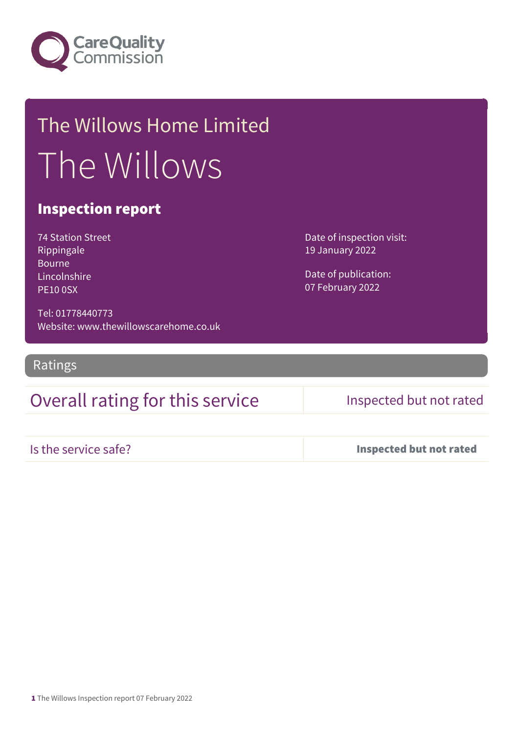

# The Willows Home Limited The Willows

### Inspection report

74 Station Street Rippingale Bourne Lincolnshire PE10 0SX

Date of inspection visit: 19 January 2022

Date of publication: 07 February 2022

Tel: 01778440773 Website: www.thewillowscarehome.co.uk

Ratings

## Overall rating for this service Inspected but not rated

Is the service safe? Inspected but not rated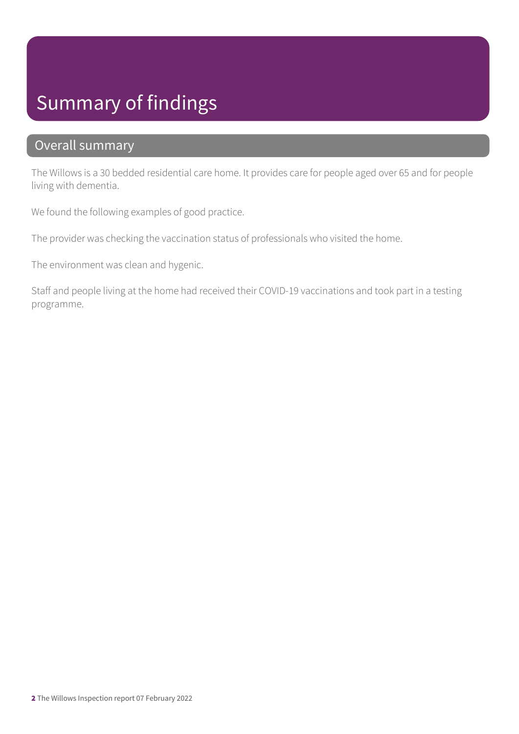## Summary of findings

### Overall summary

The Willows is a 30 bedded residential care home. It provides care for people aged over 65 and for people living with dementia.

We found the following examples of good practice.

The provider was checking the vaccination status of professionals who visited the home.

The environment was clean and hygenic.

Staff and people living at the home had received their COVID-19 vaccinations and took part in a testing programme.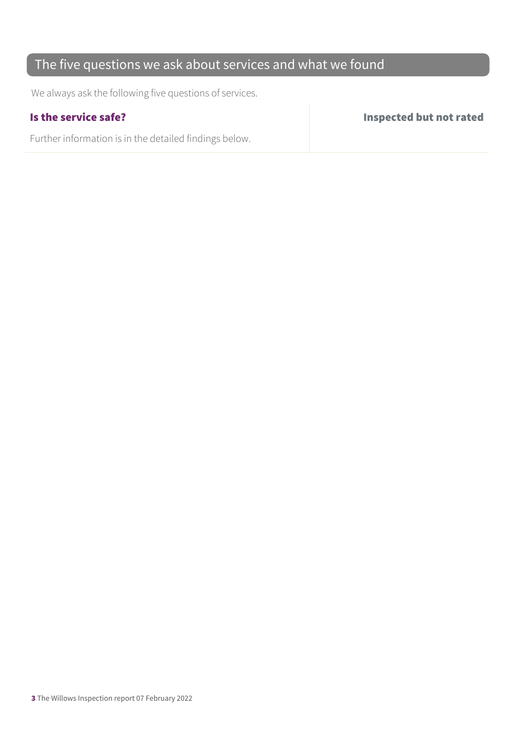## The five questions we ask about services and what we found

We always ask the following five questions of services.

Further information is in the detailed findings below.

Is the service safe? Inspected but not rated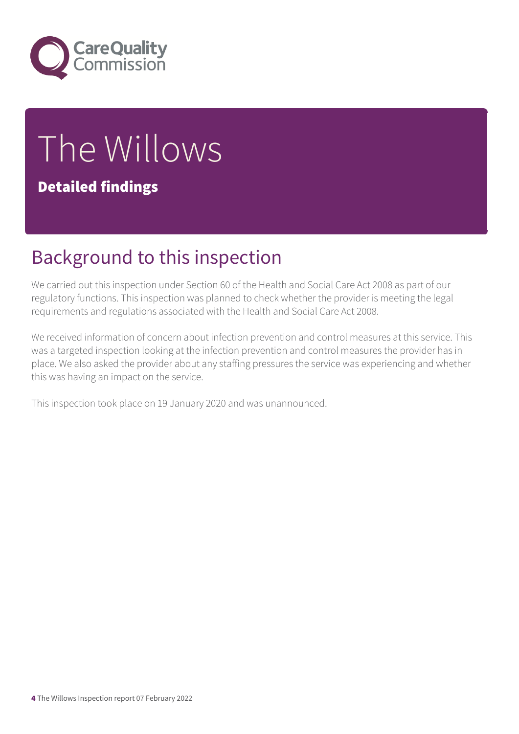

# The Willows Detailed findings

# Background to this inspection

We carried out this inspection under Section 60 of the Health and Social Care Act 2008 as part of our regulatory functions. This inspection was planned to check whether the provider is meeting the legal requirements and regulations associated with the Health and Social Care Act 2008.

We received information of concern about infection prevention and control measures at this service. This was a targeted inspection looking at the infection prevention and control measures the provider has in place. We also asked the provider about any staffing pressures the service was experiencing and whether this was having an impact on the service.

This inspection took place on 19 January 2020 and was unannounced.